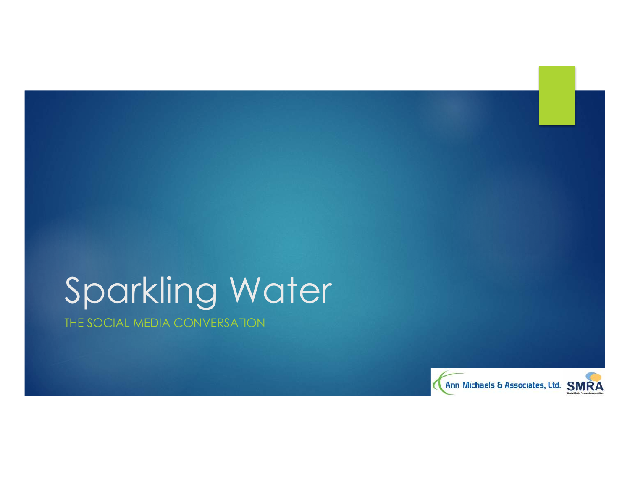# Sparkling Water

THE SOCIAL MEDIA CONVERSATION

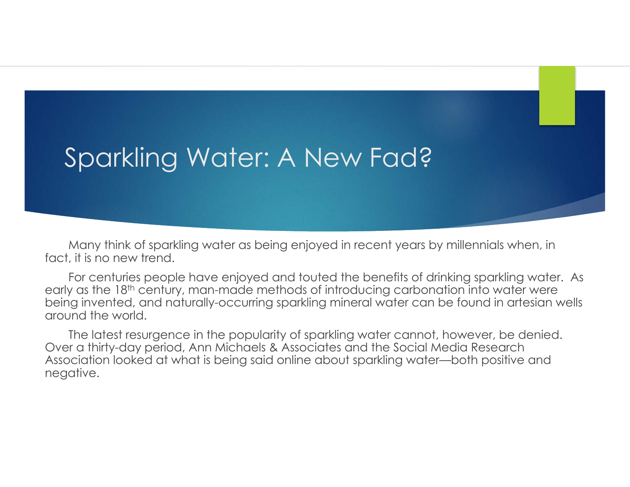# Sparkling Water: A New Fad?

Many think of sparkling water as being enjoyed in recent years by millennials when, in fact, it is no new trend.

For centuries people have enjoyed and touted the benefits of drinking sparkling water. As early as the 18<sup>th</sup> century, man-made methods of introducing carbonation into water were being invented, and naturally-occurring sparkling mineral water can be found in artesian wells around the world.

The latest resurgence in the popularity of sparkling water cannot, however, be denied. Over a thirty-day period, Ann Michaels & Associates and the Social Media Research Association looked at what is being said online about sparkling water—both positive and negative.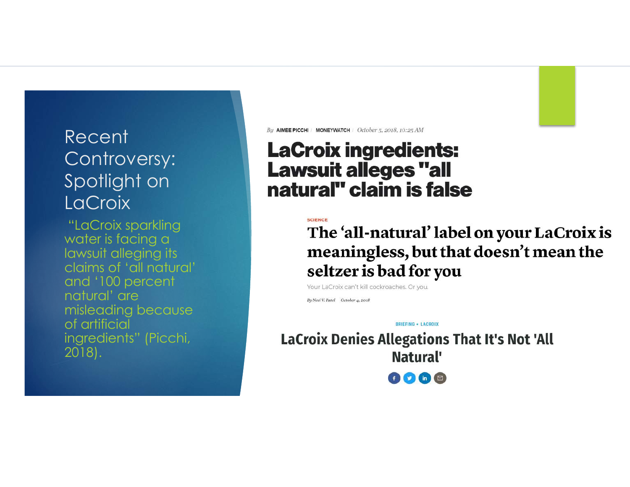## Recent Controversy: Spotlight on **LaCroix**

"LaCroix sparkling water is facing a lawsuit alleging its claims of 'all natural' and '100 percent natural' are misleading because of artificial ingredients" (Picchi, 2018).

By AIMEE PICCHI MONEYWATCH | October 5, 2018, 10:25 AM

## **LaCroix ingredients: Lawsuit alleges "all** natural" claim is false

The 'all-natural' label on your LaCroix is meaningless, but that doesn't mean the seltzer is bad for you

Your LaCroix can't kill cockroaches. Or you.

By Neel V. Patel October 4, 2018

BRIEFING . LACROIX **LaCroix Denies Allegations That It's Not 'All** Natural' 0068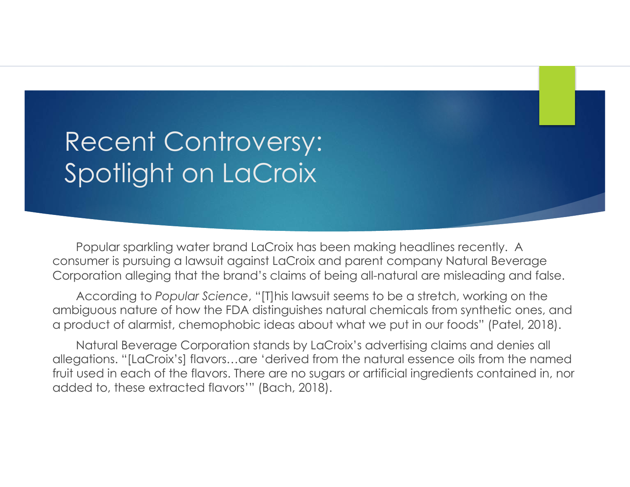# Recent Controversy: Spotlight on LaCroix

Popular sparkling water brand LaCroix has been making headlines recently. A consumer is pursuing a lawsuit against LaCroix and parent company Natural Beverage Corporation alleging that the brand's claims of being all-natural are misleading and false.

According to *Popular Science*, "[T]his lawsuit seems to be a stretch, working on the ambiguous nature of how the FDA distinguishes natural chemicals from synthetic ones, and a product of alarmist, chemophobic ideas about what we put in our foods" (Patel, 2018).

Natural Beverage Corporation stands by LaCroix's advertising claims and denies all allegations. "[LaCroix's] flavors…are 'derived from the natural essence oils from the named fruit used in each of the flavors. There are no sugars or artificial ingredients contained in, nor added to, these extracted flavors'" (Bach, 2018).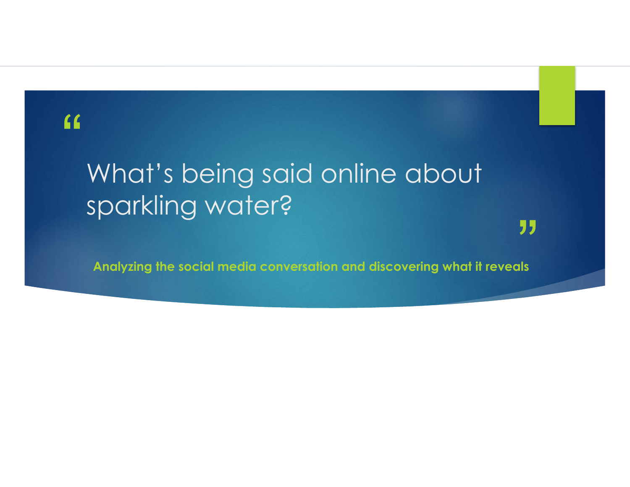## "

# What's being said online about sparkling water?

**Analyzing the social media conversation and discovering what it reveals**

"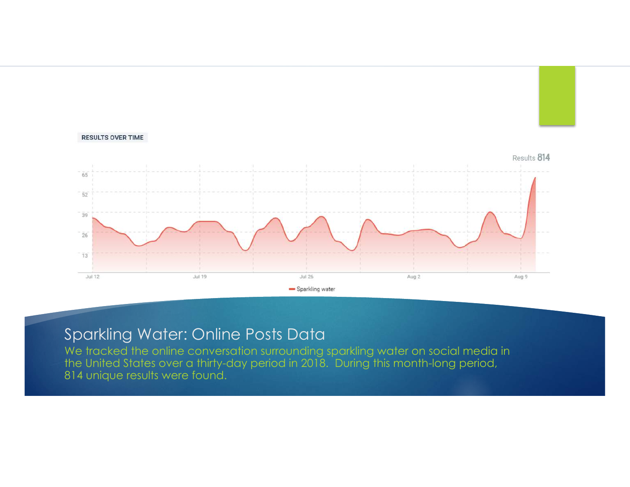

#### Sparkling Water: Online Posts Data

We tracked the online conversation surrounding sparkling water on social media in the United States over a thirty-day period in 2018. During this month-long period, 814 unique results were found.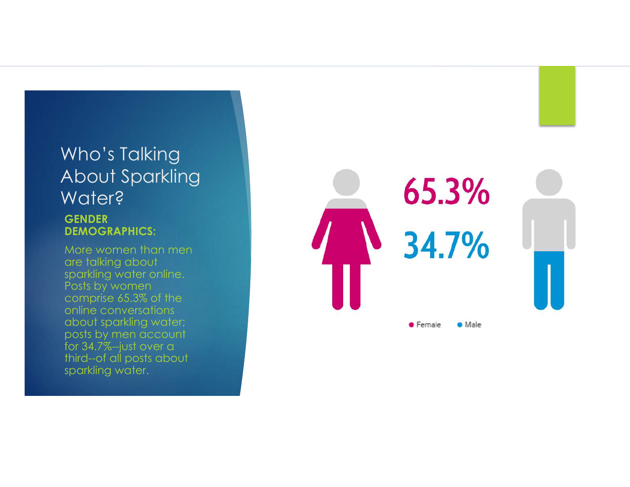## Who's Talking About Sparkling Water? **GENDER**

**DEMOGRAPHICS:** More women than men are talking about sparkling water online. Posts by women comprise 65.3% of the online conversations about sparkling water; posts by men account for 34.7%--just over a third--of all posts about sparkling water.

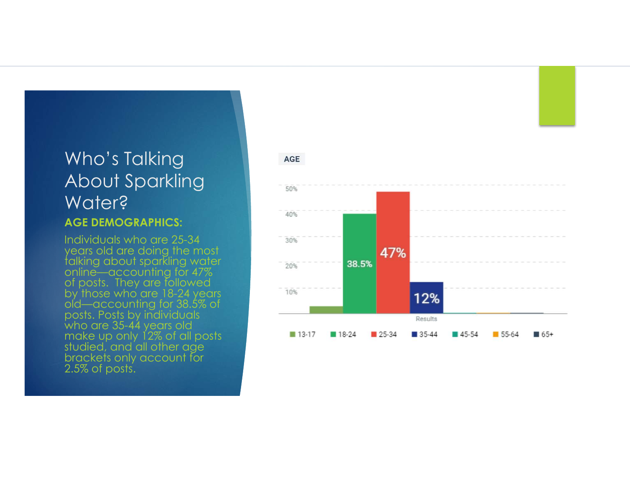## Who's Talking About Sparkling Water? **AGE DEMOGRAPHICS:**

Individuals who are 25-34 years old are doing the most talking about sparkling water online—accounting for 47% of posts. They are followed by those who are 18-24 years old—accounting for 38.5% of posts. Posts by individuals who are 35-44 years old make up only 12% of all posts studied, and all other age brackets only account for 2.5% of posts.



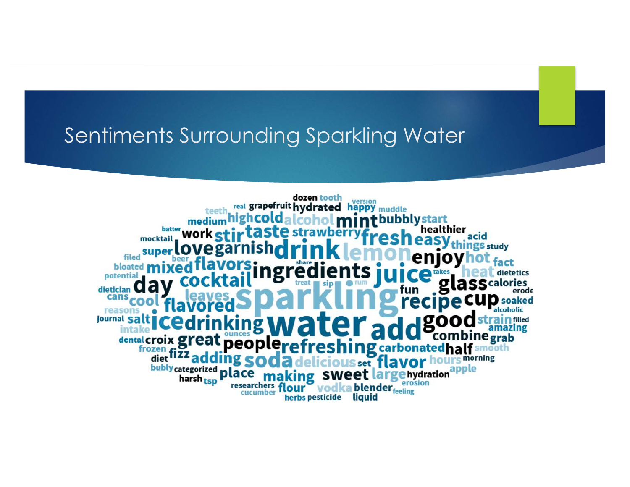# Sentiments Surrounding Sparkling Water

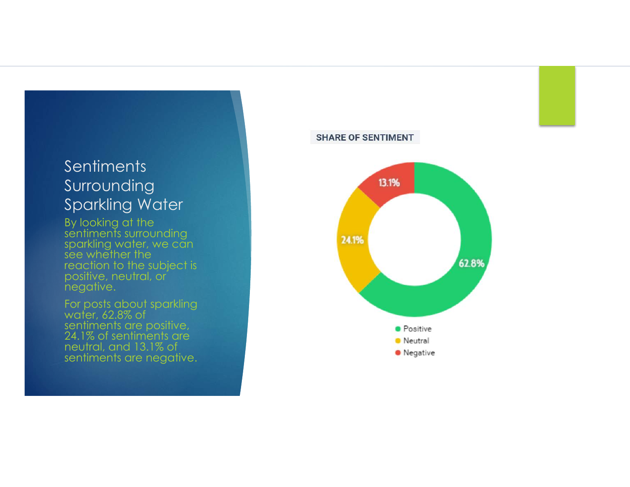### **Sentiments** Surrounding Sparkling Water

By looking at the sentiments surrounding sparkling water, we can see whether the reaction to the subject is positive, neutral, or negative.

For posts about sparkling water, 62.8% of sentiments are positive, 24.1% of sentiments are neutral, and 13.1% of sentiments are negative.

#### **SHARE OF SENTIMENT**

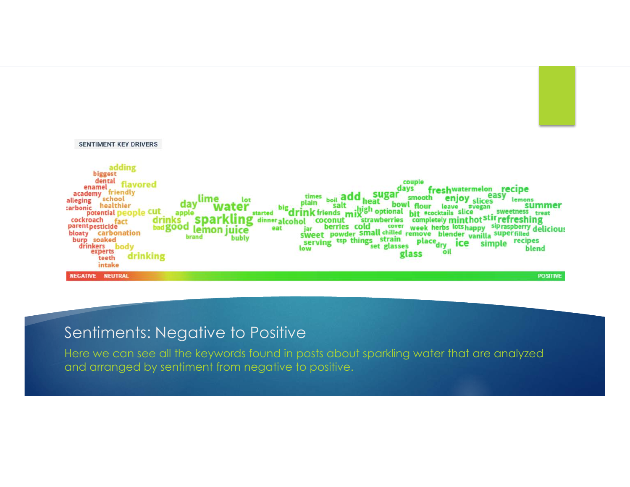

#### Sentiments: Negative to Positive

Here we can see all the keywords found in posts about sparkling water that are analyzed and arranged by sentiment from negative to positive.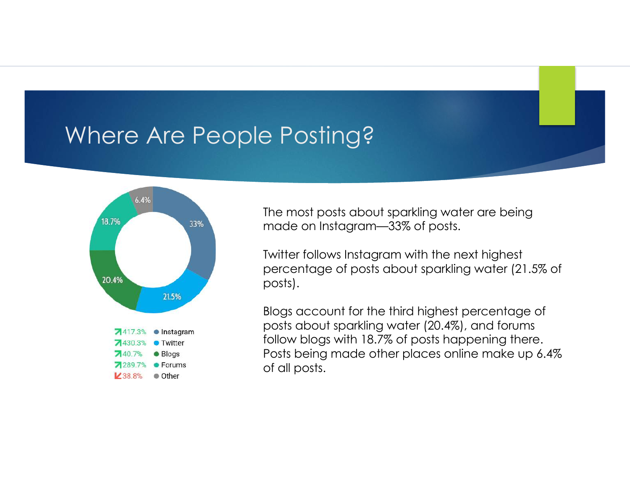# Where Are People Posting?



The most posts about sparkling water are being made on Instagram—33% of posts.

Twitter follows Instagram with the next highest percentage of posts about sparkling water (21.5% of posts).

Blogs account for the third highest percentage of posts about sparkling water (20.4%), and forums follow blogs with 18.7% of posts happening there. Posts being made other places online make up 6.4% of all posts.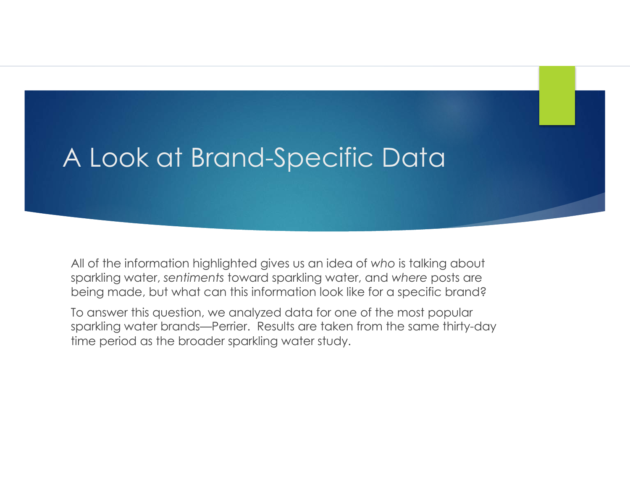# A Look at Brand-Specific Data

All of the information highlighted gives us an idea of *who* is talking about sparkling water, *sentiments* toward sparkling water, and *where* posts are being made, but what can this information look like for a specific brand?

To answer this question, we analyzed data for one of the most popular sparkling water brands—Perrier. Results are taken from the same thirty-day time period as the broader sparkling water study.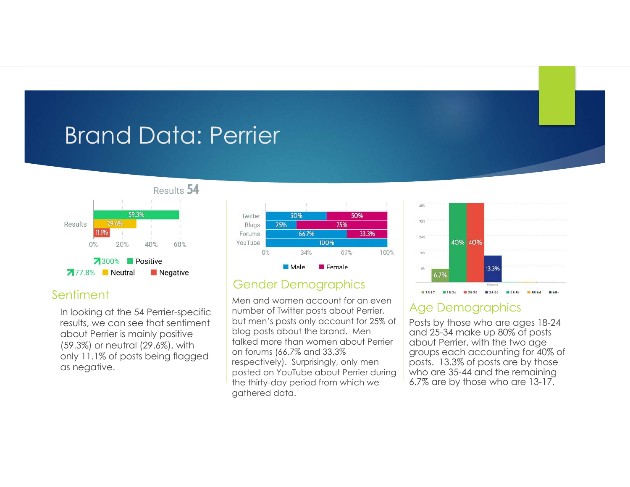# Brand Data: Perrier



#### Sentiment

In looking at the 54 Perrier-specific results, we can see that sentiment about Perrier is mainly positive (59.3%) or neutral (29.6%), with only 11.1% of posts being flagged as negative.



#### Gender Demographics

Men and women account for an even number of Twitter posts about Perrier, but men's posts only account for 25% of blog posts about the brand. Men talked more than women about Perrier on forums (66.7% and 33.3% respectively). Surprisingly, only men posted on YouTube about Perrier during the thirty-day period from which we gathered data.



#### Age Demographics

Posts by those who are ages 18-24 and 25-34 make up 80% of posts about Perrier, with the two age groups each accounting for 40% of posts. 13.3% of posts are by those who are 35-44 and the remaining 6.7% are by those who are 13-17.